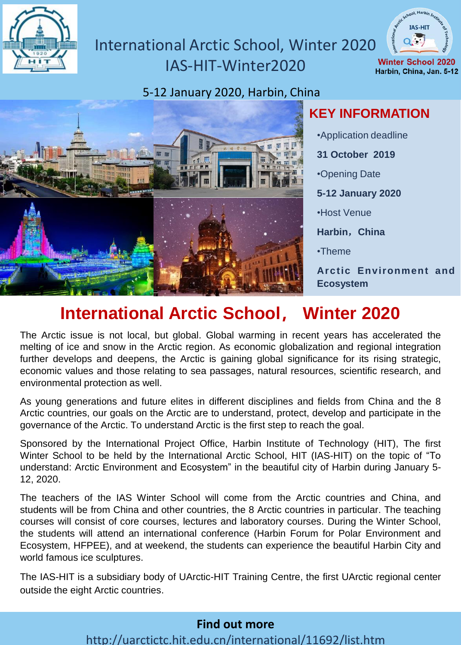

#### International Arctic School, Winter 2020 IAS-HIT-Winter2020 **Winter School 2020** Harbin, China, Jan, 5-12





**KEY INFORMATION**

**TAS-HTT** 

•Application deadline **31 October 2019** •Opening Date **5-12 January 2020** •Host Venue **Harbin**,**China** •Theme **Arctic Environment and Ecosystem**

# **International Arctic School, Winter 2020**

The Arctic issue is not local, but global. Global warming in recent years has accelerated the melting of ice and snow in the Arctic region. As economic globalization and regional integration further develops and deepens, the Arctic is gaining global significance for its rising strategic, economic values and those relating to sea passages, natural resources, scientific research, and environmental protection as well.

As young generations and future elites in different disciplines and fields from China and the 8 Arctic countries, our goals on the Arctic are to understand, protect, develop and participate in the governance of the Arctic. To understand Arctic is the first step to reach the goal.

Sponsored by the International Project Office, Harbin Institute of Technology (HIT), The first Winter School to be held by the International Arctic School, HIT (IAS-HIT) on the topic of "To understand: Arctic Environment and Ecosystem" in the beautiful city of Harbin during January 5- 12, 2020.

The teachers of the IAS Winter School will come from the Arctic countries and China, and students will be from China and other countries, the 8 Arctic countries in particular. The teaching courses will consist of core courses, lectures and laboratory courses. During the Winter School, the students will attend an international conference (Harbin Forum for Polar Environment and Ecosystem, HFPEE), and at weekend, the students can experience the beautiful Harbin City and world famous ice sculptures.

The IAS-HIT is a subsidiary body of UArctic-HIT Training Centre, the first UArctic regional center outside the eight Arctic countries.

#### **Find out more** http://uarctictc.hit.edu.cn/international/11692/list.htm